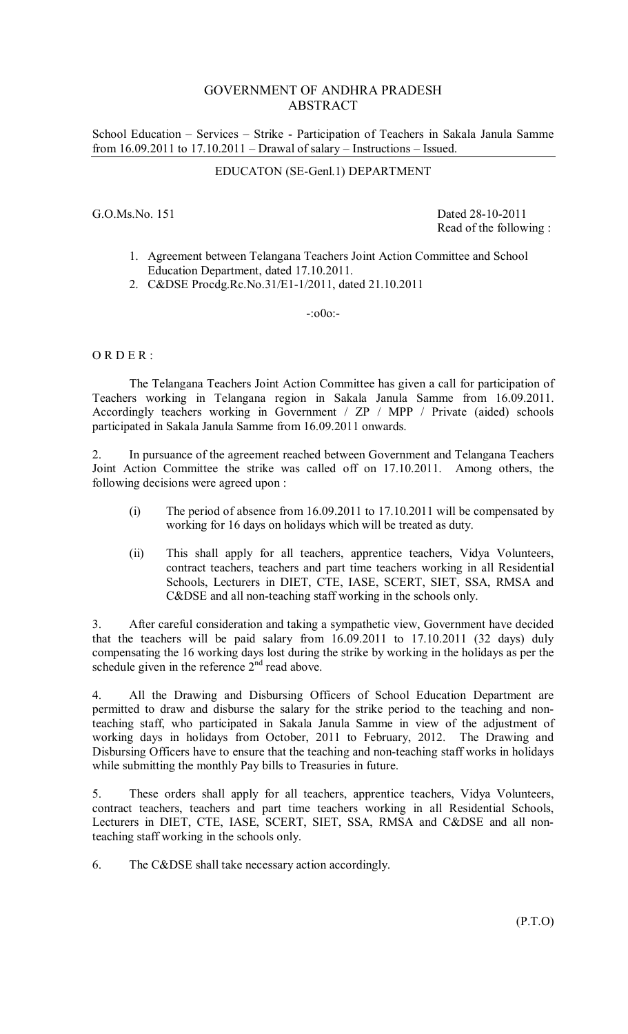## GOVERNMENT OF ANDHRA PRADESH ABSTRACT

School Education – Services – Strike - Participation of Teachers in Sakala Janula Samme from 16.09.2011 to 17.10.2011 – Drawal of salary – Instructions – Issued.

## EDUCATON (SE-Genl.1) DEPARTMENT

G.O.Ms.No. 151 Dated 28-10-2011 Read of the following :

- 1. Agreement between Telangana Teachers Joint Action Committee and School Education Department, dated 17.10.2011.
- 2. C&DSE Procdg.Rc.No.31/E1-1/2011, dated 21.10.2011

-:o0o:-

 $ORDER:$ 

 The Telangana Teachers Joint Action Committee has given a call for participation of Teachers working in Telangana region in Sakala Janula Samme from 16.09.2011. Accordingly teachers working in Government / ZP / MPP / Private (aided) schools participated in Sakala Janula Samme from 16.09.2011 onwards.

2. In pursuance of the agreement reached between Government and Telangana Teachers Joint Action Committee the strike was called off on 17.10.2011. Among others, the following decisions were agreed upon :

- (i) The period of absence from 16.09.2011 to 17.10.2011 will be compensated by working for 16 days on holidays which will be treated as duty.
- (ii) This shall apply for all teachers, apprentice teachers, Vidya Volunteers, contract teachers, teachers and part time teachers working in all Residential Schools, Lecturers in DIET, CTE, IASE, SCERT, SIET, SSA, RMSA and C&DSE and all non-teaching staff working in the schools only.

3. After careful consideration and taking a sympathetic view, Government have decided that the teachers will be paid salary from 16.09.2011 to 17.10.2011 (32 days) duly compensating the 16 working days lost during the strike by working in the holidays as per the schedule given in the reference  $2<sup>nd</sup>$  read above.

4. All the Drawing and Disbursing Officers of School Education Department are permitted to draw and disburse the salary for the strike period to the teaching and nonteaching staff, who participated in Sakala Janula Samme in view of the adjustment of working days in holidays from October, 2011 to February, 2012. The Drawing and Disbursing Officers have to ensure that the teaching and non-teaching staff works in holidays while submitting the monthly Pay bills to Treasuries in future.

5. These orders shall apply for all teachers, apprentice teachers, Vidya Volunteers, contract teachers, teachers and part time teachers working in all Residential Schools, Lecturers in DIET, CTE, IASE, SCERT, SIET, SSA, RMSA and C&DSE and all nonteaching staff working in the schools only.

6. The C&DSE shall take necessary action accordingly.